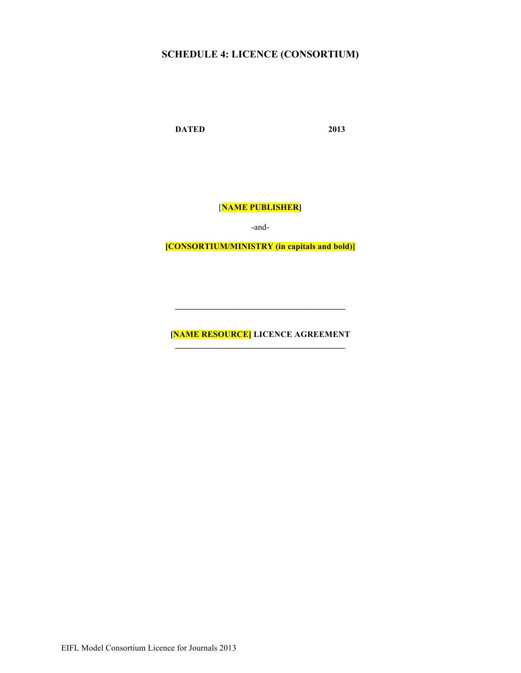# **SCHEDULE 4: LICENCE (CONSORTIUM)**

**DATED 2013**

[**NAME PUBLISHER]**

-and-

**[CONSORTIUM/MINISTRY (in capitals and bold)]**

**[NAME RESOURCE] LICENCE AGREEMENT**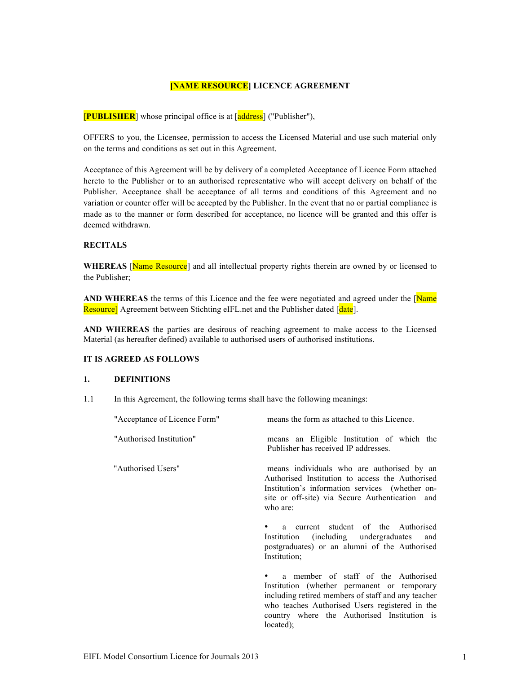### **[NAME RESOURCE] LICENCE AGREEMENT**

[**PUBLISHER**] whose principal office is at [address] ("Publisher"),

OFFERS to you, the Licensee, permission to access the Licensed Material and use such material only on the terms and conditions as set out in this Agreement.

Acceptance of this Agreement will be by delivery of a completed Acceptance of Licence Form attached hereto to the Publisher or to an authorised representative who will accept delivery on behalf of the Publisher. Acceptance shall be acceptance of all terms and conditions of this Agreement and no variation or counter offer will be accepted by the Publisher. In the event that no or partial compliance is made as to the manner or form described for acceptance, no licence will be granted and this offer is deemed withdrawn.

#### **RECITALS**

WHEREAS [Name Resource] and all intellectual property rights therein are owned by or licensed to the Publisher;

AND WHEREAS the terms of this Licence and the fee were negotiated and agreed under the [Name] Resource] Agreement between Stichting eIFL.net and the Publisher dated [date].

**AND WHEREAS** the parties are desirous of reaching agreement to make access to the Licensed Material (as hereafter defined) available to authorised users of authorised institutions.

#### **IT IS AGREED AS FOLLOWS**

#### **1. DEFINITIONS**

1.1 In this Agreement, the following terms shall have the following meanings:

| "Acceptance of Licence Form" | means the form as attached to this Licence.                                                                                                                                                                                                            |  |  |
|------------------------------|--------------------------------------------------------------------------------------------------------------------------------------------------------------------------------------------------------------------------------------------------------|--|--|
| "Authorised Institution"     | means an Eligible Institution of which the<br>Publisher has received IP addresses.                                                                                                                                                                     |  |  |
| "Authorised Users"           | means individuals who are authorised by an<br>Authorised Institution to access the Authorised<br>Institution's information services (whether on-<br>site or off-site) via Secure Authentication and<br>who are:                                        |  |  |
|                              | a current student of the Authorised<br>Institution (including undergraduates<br>and<br>postgraduates) or an alumni of the Authorised<br>Institution;                                                                                                   |  |  |
|                              | a member of staff of the Authorised<br>Institution (whether permanent or temporary<br>including retired members of staff and any teacher<br>who teaches Authorised Users registered in the<br>country where the Authorised Institution is<br>located); |  |  |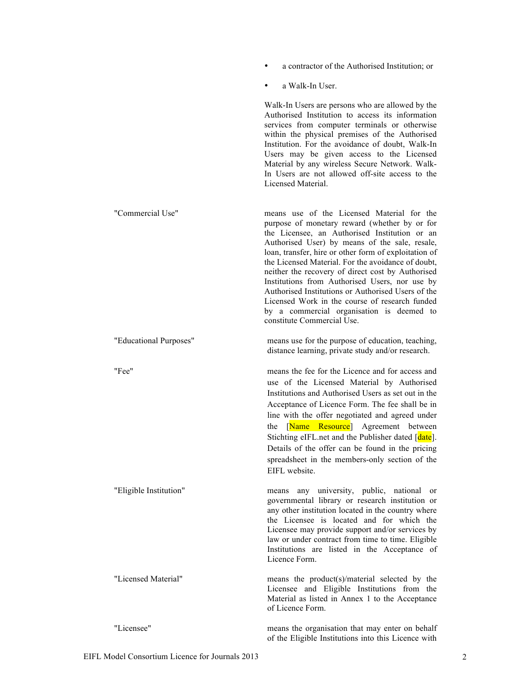- a contractor of the Authorised Institution; or
- a Walk-In User.

Walk-In Users are persons who are allowed by the Authorised Institution to access its information services from computer terminals or otherwise within the physical premises of the Authorised Institution. For the avoidance of doubt, Walk-In Users may be given access to the Licensed Material by any wireless Secure Network. Walk-In Users are not allowed off-site access to the Licensed Material.

"Commercial Use" means use of the Licensed Material for the purpose of monetary reward (whether by or for the Licensee, an Authorised Institution or an Authorised User) by means of the sale, resale, loan, transfer, hire or other form of exploitation of the Licensed Material. For the avoidance of doubt, neither the recovery of direct cost by Authorised Institutions from Authorised Users, nor use by Authorised Institutions or Authorised Users of the Licensed Work in the course of research funded by a commercial organisation is deemed to constitute Commercial Use.

"Educational Purposes" means use for the purpose of education, teaching, distance learning, private study and/or research.

"Fee" means the fee for the Licence and for access and use of the Licensed Material by Authorised Institutions and Authorised Users as set out in the Acceptance of Licence Form. The fee shall be in line with the offer negotiated and agreed under the [Name Resource] Agreement between Stichting eIFL.net and the Publisher dated [date]. Details of the offer can be found in the pricing spreadsheet in the members-only section of the EIFL website.

"Eligible Institution" means any university, public, national or governmental library or research institution or any other institution located in the country where the Licensee is located and for which the Licensee may provide support and/or services by law or under contract from time to time. Eligible Institutions are listed in the Acceptance of Licence Form. "Licensed Material" means the product(s)/material selected by the Licensee and Eligible Institutions from the Material as listed in Annex 1 to the Acceptance of Licence Form.

"Licensee" means the organisation that may enter on behalf of the Eligible Institutions into this Licence with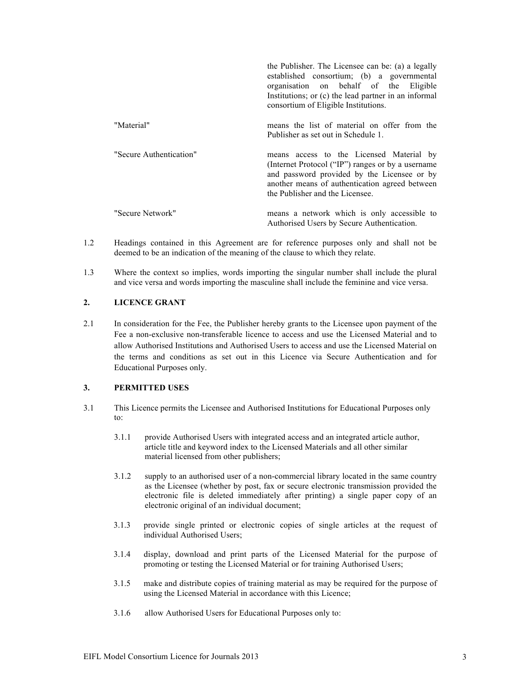|                         | the Publisher. The Licensee can be: (a) a legally<br>established consortium; (b) a governmental<br>organisation on behalf of the Eligible<br>Institutions; or (c) the lead partner in an informal<br>consortium of Eligible Institutions. |
|-------------------------|-------------------------------------------------------------------------------------------------------------------------------------------------------------------------------------------------------------------------------------------|
| "Material"              | means the list of material on offer from the<br>Publisher as set out in Schedule 1.                                                                                                                                                       |
| "Secure Authentication" | means access to the Licensed Material by<br>(Internet Protocol ("IP") ranges or by a username<br>and password provided by the Licensee or by<br>another means of authentication agreed between<br>the Publisher and the Licensee.         |
| "Secure Network"        | means a network which is only accessible to<br>Authorised Users by Secure Authentication.                                                                                                                                                 |

- 1.2 Headings contained in this Agreement are for reference purposes only and shall not be deemed to be an indication of the meaning of the clause to which they relate.
- 1.3 Where the context so implies, words importing the singular number shall include the plural and vice versa and words importing the masculine shall include the feminine and vice versa.

#### **2. LICENCE GRANT**

2.1 In consideration for the Fee, the Publisher hereby grants to the Licensee upon payment of the Fee a non-exclusive non-transferable licence to access and use the Licensed Material and to allow Authorised Institutions and Authorised Users to access and use the Licensed Material on the terms and conditions as set out in this Licence via Secure Authentication and for Educational Purposes only.

#### **3. PERMITTED USES**

- 3.1 This Licence permits the Licensee and Authorised Institutions for Educational Purposes only to:
	- 3.1.1 provide Authorised Users with integrated access and an integrated article author, article title and keyword index to the Licensed Materials and all other similar material licensed from other publishers;
	- 3.1.2 supply to an authorised user of a non-commercial library located in the same country as the Licensee (whether by post, fax or secure electronic transmission provided the electronic file is deleted immediately after printing) a single paper copy of an electronic original of an individual document;
	- 3.1.3 provide single printed or electronic copies of single articles at the request of individual Authorised Users;
	- 3.1.4 display, download and print parts of the Licensed Material for the purpose of promoting or testing the Licensed Material or for training Authorised Users;
	- 3.1.5 make and distribute copies of training material as may be required for the purpose of using the Licensed Material in accordance with this Licence;
	- 3.1.6 allow Authorised Users for Educational Purposes only to: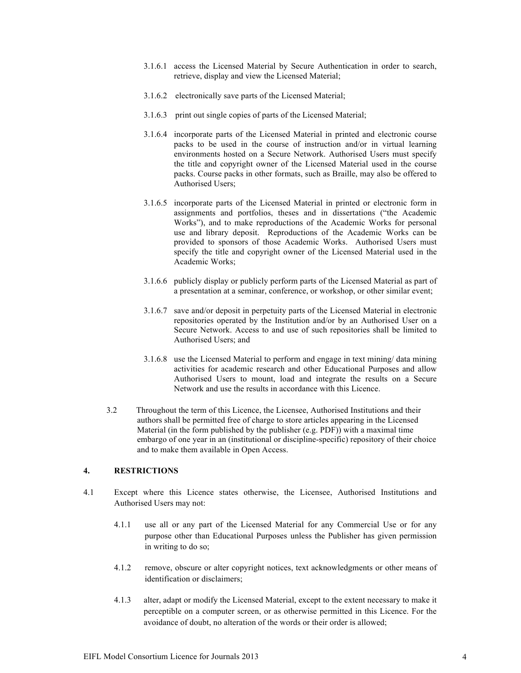- 3.1.6.1 access the Licensed Material by Secure Authentication in order to search, retrieve, display and view the Licensed Material;
- 3.1.6.2 electronically save parts of the Licensed Material;
- 3.1.6.3 print out single copies of parts of the Licensed Material;
- 3.1.6.4 incorporate parts of the Licensed Material in printed and electronic course packs to be used in the course of instruction and/or in virtual learning environments hosted on a Secure Network. Authorised Users must specify the title and copyright owner of the Licensed Material used in the course packs. Course packs in other formats, such as Braille, may also be offered to Authorised Users;
- 3.1.6.5 incorporate parts of the Licensed Material in printed or electronic form in assignments and portfolios, theses and in dissertations ("the Academic Works"), and to make reproductions of the Academic Works for personal use and library deposit. Reproductions of the Academic Works can be provided to sponsors of those Academic Works. Authorised Users must specify the title and copyright owner of the Licensed Material used in the Academic Works;
- 3.1.6.6 publicly display or publicly perform parts of the Licensed Material as part of a presentation at a seminar, conference, or workshop, or other similar event;
- 3.1.6.7 save and/or deposit in perpetuity parts of the Licensed Material in electronic repositories operated by the Institution and/or by an Authorised User on a Secure Network. Access to and use of such repositories shall be limited to Authorised Users; and
- 3.1.6.8 use the Licensed Material to perform and engage in text mining/ data mining activities for academic research and other Educational Purposes and allow Authorised Users to mount, load and integrate the results on a Secure Network and use the results in accordance with this Licence.
- 3.2Throughout the term of this Licence, the Licensee, Authorised Institutions and their authors shall be permitted free of charge to store articles appearing in the Licensed Material (in the form published by the publisher (e.g. PDF)) with a maximal time embargo of one year in an (institutional or discipline-specific) repository of their choice and to make them available in Open Access.

#### **4. RESTRICTIONS**

- 4.1 Except where this Licence states otherwise, the Licensee, Authorised Institutions and Authorised Users may not:
	- 4.1.1 use all or any part of the Licensed Material for any Commercial Use or for any purpose other than Educational Purposes unless the Publisher has given permission in writing to do so;
	- 4.1.2 remove, obscure or alter copyright notices, text acknowledgments or other means of identification or disclaimers;
	- 4.1.3 alter, adapt or modify the Licensed Material, except to the extent necessary to make it perceptible on a computer screen, or as otherwise permitted in this Licence. For the avoidance of doubt, no alteration of the words or their order is allowed;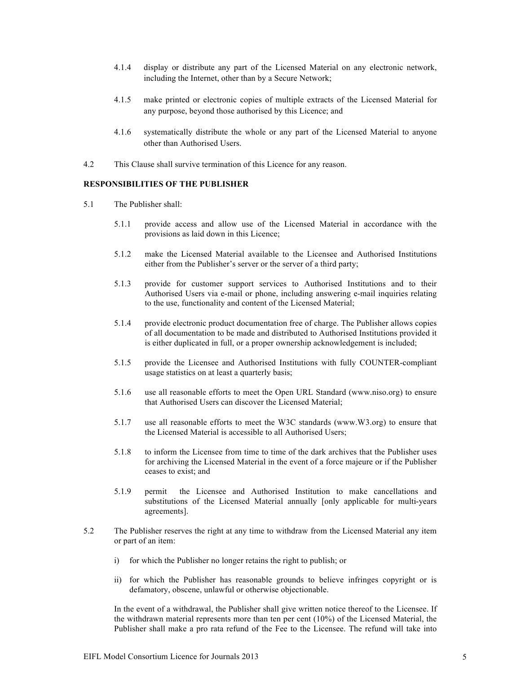- 4.1.4 display or distribute any part of the Licensed Material on any electronic network, including the Internet, other than by a Secure Network;
- 4.1.5 make printed or electronic copies of multiple extracts of the Licensed Material for any purpose, beyond those authorised by this Licence; and
- 4.1.6 systematically distribute the whole or any part of the Licensed Material to anyone other than Authorised Users.
- 4.2 This Clause shall survive termination of this Licence for any reason.

#### **RESPONSIBILITIES OF THE PUBLISHER**

- 5.1 The Publisher shall:
	- 5.1.1 provide access and allow use of the Licensed Material in accordance with the provisions as laid down in this Licence;
	- 5.1.2 make the Licensed Material available to the Licensee and Authorised Institutions either from the Publisher's server or the server of a third party;
	- 5.1.3 provide for customer support services to Authorised Institutions and to their Authorised Users via e-mail or phone, including answering e-mail inquiries relating to the use, functionality and content of the Licensed Material;
	- 5.1.4 provide electronic product documentation free of charge. The Publisher allows copies of all documentation to be made and distributed to Authorised Institutions provided it is either duplicated in full, or a proper ownership acknowledgement is included;
	- 5.1.5 provide the Licensee and Authorised Institutions with fully COUNTER-compliant usage statistics on at least a quarterly basis;
	- 5.1.6 use all reasonable efforts to meet the Open URL Standard (www.niso.org) to ensure that Authorised Users can discover the Licensed Material;
	- 5.1.7 use all reasonable efforts to meet the W3C standards (www.W3.org) to ensure that the Licensed Material is accessible to all Authorised Users;
	- 5.1.8 to inform the Licensee from time to time of the dark archives that the Publisher uses for archiving the Licensed Material in the event of a force majeure or if the Publisher ceases to exist; and
	- 5.1.9 permit the Licensee and Authorised Institution to make cancellations and substitutions of the Licensed Material annually [only applicable for multi-years agreements].
- 5.2 The Publisher reserves the right at any time to withdraw from the Licensed Material any item or part of an item:
	- i) for which the Publisher no longer retains the right to publish; or
	- ii) for which the Publisher has reasonable grounds to believe infringes copyright or is defamatory, obscene, unlawful or otherwise objectionable.

In the event of a withdrawal, the Publisher shall give written notice thereof to the Licensee. If the withdrawn material represents more than ten per cent (10%) of the Licensed Material, the Publisher shall make a pro rata refund of the Fee to the Licensee. The refund will take into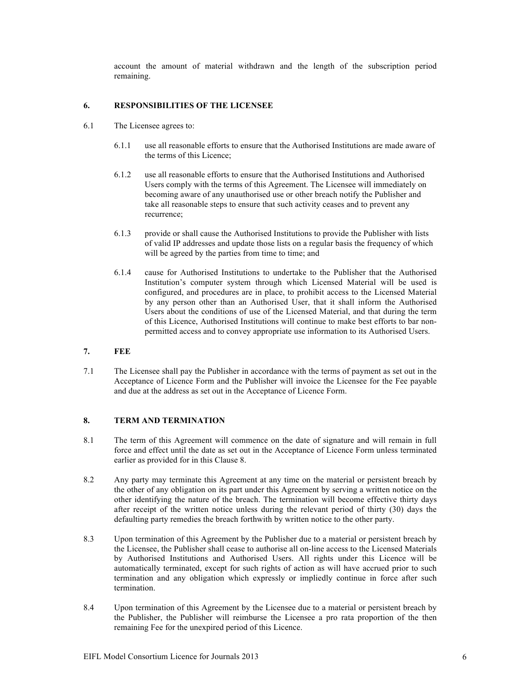account the amount of material withdrawn and the length of the subscription period remaining.

#### **6. RESPONSIBILITIES OF THE LICENSEE**

- 6.1 The Licensee agrees to:
	- 6.1.1 use all reasonable efforts to ensure that the Authorised Institutions are made aware of the terms of this Licence;
	- 6.1.2 use all reasonable efforts to ensure that the Authorised Institutions and Authorised Users comply with the terms of this Agreement. The Licensee will immediately on becoming aware of any unauthorised use or other breach notify the Publisher and take all reasonable steps to ensure that such activity ceases and to prevent any recurrence;
	- 6.1.3 provide or shall cause the Authorised Institutions to provide the Publisher with lists of valid IP addresses and update those lists on a regular basis the frequency of which will be agreed by the parties from time to time; and
	- 6.1.4 cause for Authorised Institutions to undertake to the Publisher that the Authorised Institution's computer system through which Licensed Material will be used is configured, and procedures are in place, to prohibit access to the Licensed Material by any person other than an Authorised User, that it shall inform the Authorised Users about the conditions of use of the Licensed Material, and that during the term of this Licence, Authorised Institutions will continue to make best efforts to bar nonpermitted access and to convey appropriate use information to its Authorised Users.
- **7. FEE**
- 7.1 The Licensee shall pay the Publisher in accordance with the terms of payment as set out in the Acceptance of Licence Form and the Publisher will invoice the Licensee for the Fee payable and due at the address as set out in the Acceptance of Licence Form.

#### **8. TERM AND TERMINATION**

- 8.1 The term of this Agreement will commence on the date of signature and will remain in full force and effect until the date as set out in the Acceptance of Licence Form unless terminated earlier as provided for in this Clause 8.
- 8.2 Any party may terminate this Agreement at any time on the material or persistent breach by the other of any obligation on its part under this Agreement by serving a written notice on the other identifying the nature of the breach. The termination will become effective thirty days after receipt of the written notice unless during the relevant period of thirty (30) days the defaulting party remedies the breach forthwith by written notice to the other party.
- 8.3 Upon termination of this Agreement by the Publisher due to a material or persistent breach by the Licensee, the Publisher shall cease to authorise all on-line access to the Licensed Materials by Authorised Institutions and Authorised Users. All rights under this Licence will be automatically terminated, except for such rights of action as will have accrued prior to such termination and any obligation which expressly or impliedly continue in force after such termination.
- 8.4 Upon termination of this Agreement by the Licensee due to a material or persistent breach by the Publisher, the Publisher will reimburse the Licensee a pro rata proportion of the then remaining Fee for the unexpired period of this Licence.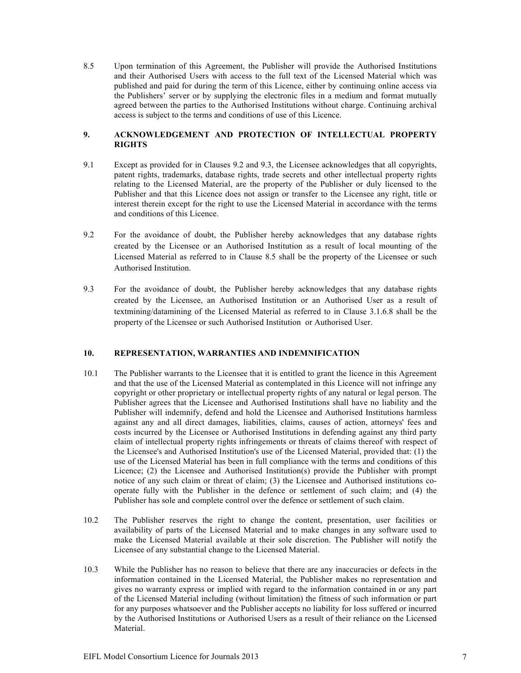8.5 Upon termination of this Agreement, the Publisher will provide the Authorised Institutions and their Authorised Users with access to the full text of the Licensed Material which was published and paid for during the term of this Licence, either by continuing online access via the Publishers' server or by supplying the electronic files in a medium and format mutually agreed between the parties to the Authorised Institutions without charge. Continuing archival access is subject to the terms and conditions of use of this Licence.

#### **9. ACKNOWLEDGEMENT AND PROTECTION OF INTELLECTUAL PROPERTY RIGHTS**

- 9.1 Except as provided for in Clauses 9.2 and 9.3, the Licensee acknowledges that all copyrights, patent rights, trademarks, database rights, trade secrets and other intellectual property rights relating to the Licensed Material, are the property of the Publisher or duly licensed to the Publisher and that this Licence does not assign or transfer to the Licensee any right, title or interest therein except for the right to use the Licensed Material in accordance with the terms and conditions of this Licence.
- 9.2 For the avoidance of doubt, the Publisher hereby acknowledges that any database rights created by the Licensee or an Authorised Institution as a result of local mounting of the Licensed Material as referred to in Clause 8.5 shall be the property of the Licensee or such Authorised Institution.
- 9.3 For the avoidance of doubt, the Publisher hereby acknowledges that any database rights created by the Licensee, an Authorised Institution or an Authorised User as a result of textmining/datamining of the Licensed Material as referred to in Clause 3.1.6.8 shall be the property of the Licensee or such Authorised Institution or Authorised User.

#### **10. REPRESENTATION, WARRANTIES AND INDEMNIFICATION**

- 10.1 The Publisher warrants to the Licensee that it is entitled to grant the licence in this Agreement and that the use of the Licensed Material as contemplated in this Licence will not infringe any copyright or other proprietary or intellectual property rights of any natural or legal person. The Publisher agrees that the Licensee and Authorised Institutions shall have no liability and the Publisher will indemnify, defend and hold the Licensee and Authorised Institutions harmless against any and all direct damages, liabilities, claims, causes of action, attorneys' fees and costs incurred by the Licensee or Authorised Institutions in defending against any third party claim of intellectual property rights infringements or threats of claims thereof with respect of the Licensee's and Authorised Institution's use of the Licensed Material, provided that: (1) the use of the Licensed Material has been in full compliance with the terms and conditions of this Licence; (2) the Licensee and Authorised Institution(s) provide the Publisher with prompt notice of any such claim or threat of claim; (3) the Licensee and Authorised institutions cooperate fully with the Publisher in the defence or settlement of such claim; and (4) the Publisher has sole and complete control over the defence or settlement of such claim.
- 10.2 The Publisher reserves the right to change the content, presentation, user facilities or availability of parts of the Licensed Material and to make changes in any software used to make the Licensed Material available at their sole discretion. The Publisher will notify the Licensee of any substantial change to the Licensed Material.
- 10.3 While the Publisher has no reason to believe that there are any inaccuracies or defects in the information contained in the Licensed Material, the Publisher makes no representation and gives no warranty express or implied with regard to the information contained in or any part of the Licensed Material including (without limitation) the fitness of such information or part for any purposes whatsoever and the Publisher accepts no liability for loss suffered or incurred by the Authorised Institutions or Authorised Users as a result of their reliance on the Licensed Material.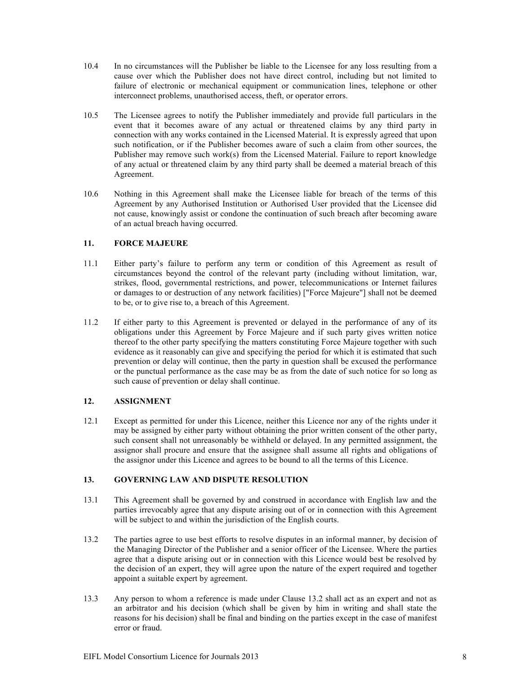- 10.4 In no circumstances will the Publisher be liable to the Licensee for any loss resulting from a cause over which the Publisher does not have direct control, including but not limited to failure of electronic or mechanical equipment or communication lines, telephone or other interconnect problems, unauthorised access, theft, or operator errors.
- 10.5 The Licensee agrees to notify the Publisher immediately and provide full particulars in the event that it becomes aware of any actual or threatened claims by any third party in connection with any works contained in the Licensed Material. It is expressly agreed that upon such notification, or if the Publisher becomes aware of such a claim from other sources, the Publisher may remove such work(s) from the Licensed Material. Failure to report knowledge of any actual or threatened claim by any third party shall be deemed a material breach of this Agreement.
- 10.6 Nothing in this Agreement shall make the Licensee liable for breach of the terms of this Agreement by any Authorised Institution or Authorised User provided that the Licensee did not cause, knowingly assist or condone the continuation of such breach after becoming aware of an actual breach having occurred.

### **11. FORCE MAJEURE**

- 11.1 Either party's failure to perform any term or condition of this Agreement as result of circumstances beyond the control of the relevant party (including without limitation, war, strikes, flood, governmental restrictions, and power, telecommunications or Internet failures or damages to or destruction of any network facilities) ["Force Majeure"] shall not be deemed to be, or to give rise to, a breach of this Agreement.
- 11.2 If either party to this Agreement is prevented or delayed in the performance of any of its obligations under this Agreement by Force Majeure and if such party gives written notice thereof to the other party specifying the matters constituting Force Majeure together with such evidence as it reasonably can give and specifying the period for which it is estimated that such prevention or delay will continue, then the party in question shall be excused the performance or the punctual performance as the case may be as from the date of such notice for so long as such cause of prevention or delay shall continue.

#### **12. ASSIGNMENT**

12.1 Except as permitted for under this Licence, neither this Licence nor any of the rights under it may be assigned by either party without obtaining the prior written consent of the other party, such consent shall not unreasonably be withheld or delayed. In any permitted assignment, the assignor shall procure and ensure that the assignee shall assume all rights and obligations of the assignor under this Licence and agrees to be bound to all the terms of this Licence.

### **13. GOVERNING LAW AND DISPUTE RESOLUTION**

- 13.1 This Agreement shall be governed by and construed in accordance with English law and the parties irrevocably agree that any dispute arising out of or in connection with this Agreement will be subject to and within the jurisdiction of the English courts.
- 13.2 The parties agree to use best efforts to resolve disputes in an informal manner, by decision of the Managing Director of the Publisher and a senior officer of the Licensee. Where the parties agree that a dispute arising out or in connection with this Licence would best be resolved by the decision of an expert, they will agree upon the nature of the expert required and together appoint a suitable expert by agreement.
- 13.3 Any person to whom a reference is made under Clause 13.2 shall act as an expert and not as an arbitrator and his decision (which shall be given by him in writing and shall state the reasons for his decision) shall be final and binding on the parties except in the case of manifest error or fraud.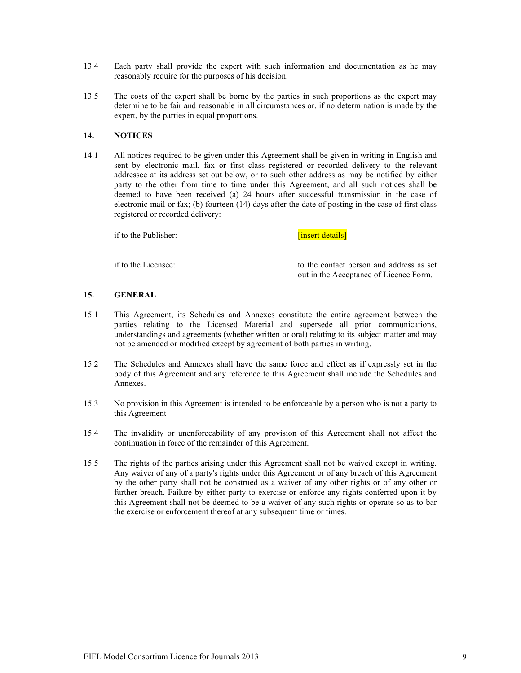- 13.4 Each party shall provide the expert with such information and documentation as he may reasonably require for the purposes of his decision.
- 13.5 The costs of the expert shall be borne by the parties in such proportions as the expert may determine to be fair and reasonable in all circumstances or, if no determination is made by the expert, by the parties in equal proportions.

### **14. NOTICES**

14.1 All notices required to be given under this Agreement shall be given in writing in English and sent by electronic mail, fax or first class registered or recorded delivery to the relevant addressee at its address set out below, or to such other address as may be notified by either party to the other from time to time under this Agreement, and all such notices shall be deemed to have been received (a) 24 hours after successful transmission in the case of electronic mail or fax; (b) fourteen (14) days after the date of posting in the case of first class registered or recorded delivery:

if to the Publisher: [insert details]

if to the Licensee: to the contact person and address as set out in the Acceptance of Licence Form.

#### **15. GENERAL**

- 15.1 This Agreement, its Schedules and Annexes constitute the entire agreement between the parties relating to the Licensed Material and supersede all prior communications, understandings and agreements (whether written or oral) relating to its subject matter and may not be amended or modified except by agreement of both parties in writing.
- 15.2 The Schedules and Annexes shall have the same force and effect as if expressly set in the body of this Agreement and any reference to this Agreement shall include the Schedules and Annexes.
- 15.3 No provision in this Agreement is intended to be enforceable by a person who is not a party to this Agreement
- 15.4 The invalidity or unenforceability of any provision of this Agreement shall not affect the continuation in force of the remainder of this Agreement.
- 15.5 The rights of the parties arising under this Agreement shall not be waived except in writing. Any waiver of any of a party's rights under this Agreement or of any breach of this Agreement by the other party shall not be construed as a waiver of any other rights or of any other or further breach. Failure by either party to exercise or enforce any rights conferred upon it by this Agreement shall not be deemed to be a waiver of any such rights or operate so as to bar the exercise or enforcement thereof at any subsequent time or times.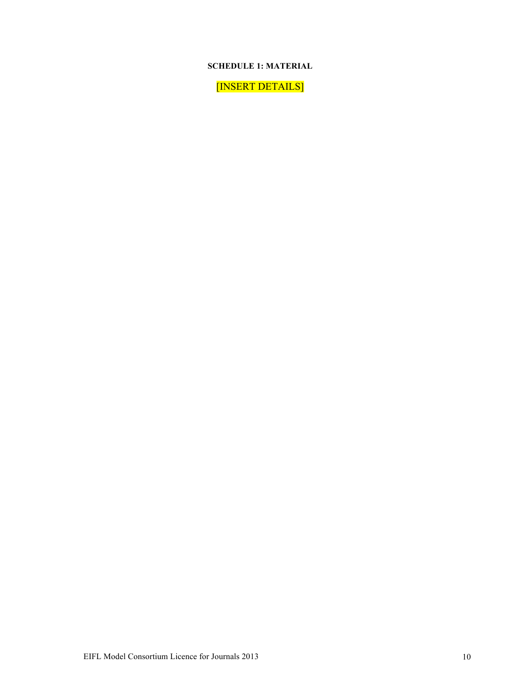## **SCHEDULE 1: MATERIAL**

[INSERT DETAILS]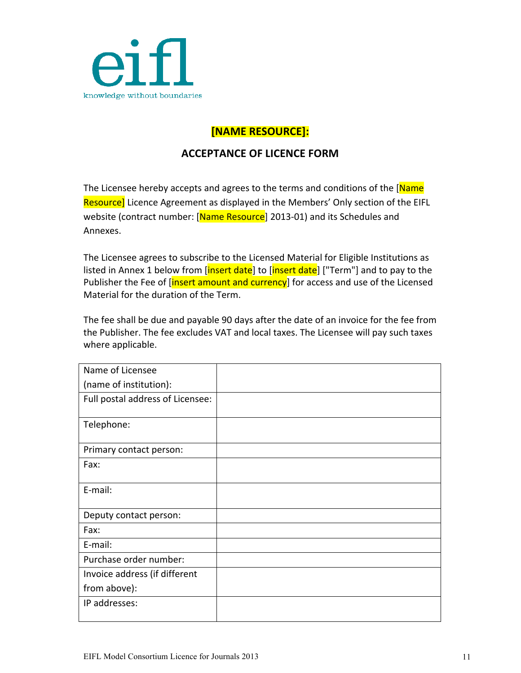

# **[NAME&RESOURCE]:**

# **ACCEPTANCE OF LICENCE FORM**

The Licensee hereby accepts and agrees to the terms and conditions of the [Name] Resource] Licence Agreement as displayed in the Members' Only section of the EIFL website (contract number: [Name Resource] 2013-01) and its Schedules and Annexes.

The Licensee agrees to subscribe to the Licensed Material for Eligible Institutions as listed in Annex 1 below from [insert date] to [insert date] ["Term"] and to pay to the Publisher the Fee of [insert amount and currency] for access and use of the Licensed Material for the duration of the Term.

The fee shall be due and payable 90 days after the date of an invoice for the fee from the Publisher. The fee excludes VAT and local taxes. The Licensee will pay such taxes where applicable.

| Name of Licensee                 |  |
|----------------------------------|--|
| (name of institution):           |  |
| Full postal address of Licensee: |  |
| Telephone:                       |  |
| Primary contact person:          |  |
| Fax:                             |  |
| E-mail:                          |  |
| Deputy contact person:           |  |
| Fax:                             |  |
| E-mail:                          |  |
| Purchase order number:           |  |
| Invoice address (if different    |  |
| from above):                     |  |
| IP addresses:                    |  |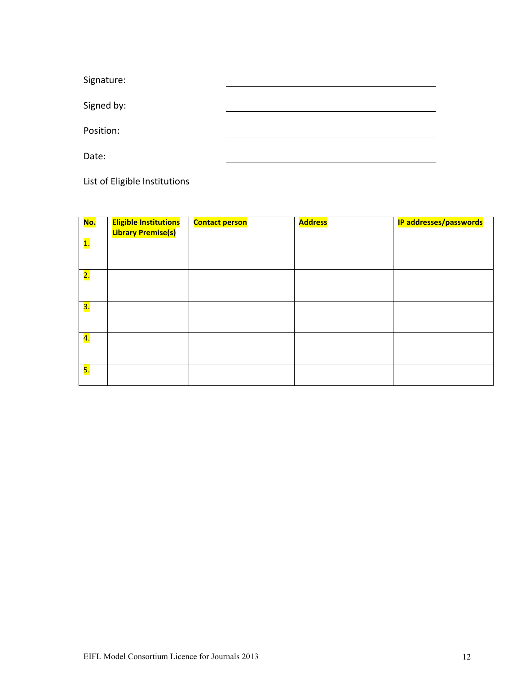Signature: Signed by: Position: Date:

List of Eligible Institutions

| No.                       | <b>Eligible Institutions</b><br><b>Library Premise(s)</b> | <b>Contact person</b> | <b>Address</b> | <b>IP addresses/passwords</b> |
|---------------------------|-----------------------------------------------------------|-----------------------|----------------|-------------------------------|
| $\overline{\mathbf{1}}$ . |                                                           |                       |                |                               |
| <mark>2.</mark>           |                                                           |                       |                |                               |
| <mark>3.</mark>           |                                                           |                       |                |                               |
| <mark>4.</mark>           |                                                           |                       |                |                               |
| <b>5.</b>                 |                                                           |                       |                |                               |